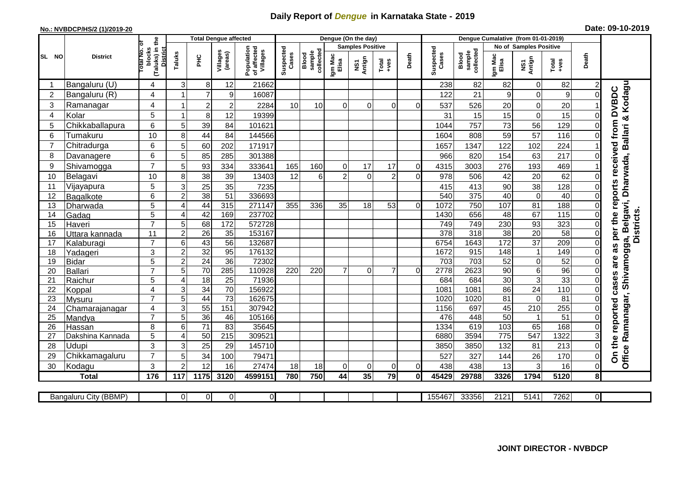## **Daily Report of** *Dengue* **in Karnataka State - 2019**

## **No.: NVBDCP/HS/2 (1)/2019-20 Date: 09-10-2019**

|                |                       | the                                 |                  | <b>Total Dengue affected</b> |                     |                                       |                    |                              |                  | Dengue (On the day)     |                |                |                    |                              |                  | Dengue Cumalative (from 01-01-2019) |                   |                |                                                  |
|----------------|-----------------------|-------------------------------------|------------------|------------------------------|---------------------|---------------------------------------|--------------------|------------------------------|------------------|-------------------------|----------------|----------------|--------------------|------------------------------|------------------|-------------------------------------|-------------------|----------------|--------------------------------------------------|
|                |                       | ō                                   |                  |                              |                     |                                       |                    |                              |                  | <b>Samples Positive</b> |                |                |                    |                              |                  | <b>No of Samples Positive</b>       |                   |                |                                                  |
| SL NO          | <b>District</b>       | blocks<br>(Taluks) in t<br>otal No. | Taluks           | ЭHС                          | Villages<br>(areas) | Population<br>of affected<br>Villages | Suspected<br>Cases | collected<br>sample<br>Blood | Igm Mac<br>Elisa | Antign<br>VS7           | Total<br>+ves  | Death          | Suspected<br>Cases | collected<br>sample<br>Blood | Igm Mac<br>Elisa | NS1<br>Antign                       | Total<br>$-ves$   | Death          |                                                  |
|                | Bangaluru (U)         | 4                                   | $\mathsf 3$      | 8                            | 12                  | 21662                                 |                    |                              |                  |                         |                |                | 238                | 82                           | 82               | $\mathbf 0$                         | 82                |                |                                                  |
| $\overline{2}$ | Bangaluru (R)         | 4                                   |                  | $\overline{7}$               | $9$                 | 16087                                 |                    |                              |                  |                         |                |                | 122                | 21                           | 9                | $\mathbf 0$                         | 9                 | 0              |                                                  |
| 3              | Ramanagar             | 4                                   | 1                | $\overline{\mathbf{c}}$      | $\overline{2}$      | 2284                                  | 10                 | 10                           | $\mathbf 0$      | $\mathbf 0$             | $\overline{0}$ | 0              | 537                | 526                          | 20               | 0                                   | 20                |                | Kodagu<br>as per the reports received from DVBDC |
| $\overline{4}$ | Kolar                 | 5                                   | 1                | 8                            | 12                  | 19399                                 |                    |                              |                  |                         |                |                | 31                 | 15                           | 15               | $\mathbf 0$                         | 15                | $\Omega$       |                                                  |
| 5              | Chikkaballapura       | 6                                   | 5                | 39                           | 84                  | 101621                                |                    |                              |                  |                         |                |                | 1044               | 757                          | 73               | 56                                  | 129               |                |                                                  |
| 6              | Tumakuru              | 10                                  | 8                | 44                           | 84                  | 144566                                |                    |                              |                  |                         |                |                | 1604               | 808                          | 59               | 57                                  | 116               |                |                                                  |
| $\overline{7}$ | Chitradurga           | 6                                   | 5                | 60                           | 202                 | 171917                                |                    |                              |                  |                         |                |                | 1657               | 1347                         | 122              | 102                                 | 224               |                |                                                  |
| 8              | Davanagere            | 6                                   | 5                | 85                           | 285                 | 301388                                |                    |                              |                  |                         |                |                | 966                | 820                          | 154              | 63                                  | 217               | 0              |                                                  |
| 9              | Shivamogga            | $\overline{7}$                      | 5                | 93                           | 334                 | 333641                                | 165                | 160                          | 0                | 17                      | 17             | 0              | 4315               | 3003                         | 276              | 193                                 | 469               |                | Belgavi, Dharwada, Ballari &                     |
| 10             | Belagavi              | 10                                  | 8                | 38                           | 39                  | 13403                                 | 12                 | $6 \overline{6}$             | $\overline{2}$   | $\Omega$                | $\overline{2}$ | $\Omega$       | 978                | 506                          | 42               | 20                                  | 62                | 0              |                                                  |
| 11             | Vijayapura            | 5                                   | 3                | $\overline{25}$              | 35                  | 7235                                  |                    |                              |                  |                         |                |                | 415                | 413                          | 90               | 38                                  | 128               | 0              |                                                  |
| 12             | Bagalkote             | 6                                   | $\overline{2}$   | 38                           | $\overline{51}$     | 336693                                |                    |                              |                  |                         |                |                | 540                | 375                          | 40               | $\mathbf 0$                         | 40                | $\overline{0}$ |                                                  |
| 13             | Dharwada              | 5                                   | 4                | 44                           | 315                 | 271147                                | 355                | 336                          | 35               | 18                      | 53             | $\overline{0}$ | 1072               | 750                          | 107              | $\overline{81}$                     | 188               | $\overline{0}$ |                                                  |
| 14             | Gadag                 | 5                                   | $\overline{4}$   | 42                           | 169                 | 237702                                |                    |                              |                  |                         |                |                | 1430               | 656                          | 48               | 67                                  | $\frac{115}{115}$ | $\Omega$       | <b>Districts</b>                                 |
| 15             | Haveri                | $\overline{7}$                      | 5                | 68                           | 172                 | 572728                                |                    |                              |                  |                         |                |                | 749                | 749                          | 230              | 93                                  | 323               | $\Omega$       |                                                  |
| 16             | Uttara kannada        | 11                                  | $\overline{c}$   | $\overline{26}$              | 35                  | 153167                                |                    |                              |                  |                         |                |                | $\overline{378}$   | 318                          | $\overline{38}$  | $\overline{20}$                     | 58                | $\Omega$       |                                                  |
| 17             | Kalaburagi            | $\overline{7}$                      | 6                | 43                           | $\overline{56}$     | 132687                                |                    |                              |                  |                         |                |                | 6754               | 1643                         | 172              | $\overline{37}$                     | 209               | $\Omega$       |                                                  |
| 18             | Yadageri              | 3                                   | $\overline{c}$   | 32                           | 95                  | 176132                                |                    |                              |                  |                         |                |                | 1672               | 915                          | 148              | $\mathbf{1}$                        | 149               |                |                                                  |
| 19             | <b>Bidar</b>          | 5                                   | $\boldsymbol{2}$ | 24                           | $\overline{36}$     | 72302                                 |                    |                              |                  |                         |                |                | 703                | 703                          | 52               | $\mathbf 0$                         | 52                | $\Omega$       | are                                              |
| 20             | Ballari               | $\overline{7}$                      | 5                | 70                           | 285                 | 110928                                | 220                | 220                          | $\overline{7}$   | 0                       | $\overline{7}$ | $\overline{0}$ | 2778               | 2623                         | 90               | $\,6$                               | 96                | $\Omega$       |                                                  |
| 21             | Raichur               | 5                                   | 4                | 18                           | $\overline{25}$     | 71936                                 |                    |                              |                  |                         |                |                | 684                | 684                          | 30               | 3                                   | 33                | $\Omega$       | Shivamogga,<br>cases                             |
| 22             | Koppal                | 4<br>$\overline{7}$                 | 3                | $\overline{34}$              | 70                  | 156922                                |                    |                              |                  |                         |                |                | 1081               | 1081                         | 86               | 24                                  | 110               | $\overline{0}$ |                                                  |
| 23             | Mysuru                |                                     | 5                | 44                           | $\overline{73}$     | 162675                                |                    |                              |                  |                         |                |                | 1020               | 1020                         | $\overline{81}$  | $\mathbf 0$                         | 81                | $\Omega$       |                                                  |
| 24<br>25       | Chamarajanagar        | 4<br>$\overline{7}$                 | 3<br>5           | 55<br>36                     | 151<br>46           | 307942<br>105166                      |                    |                              |                  |                         |                |                | 1156<br>476        | 697<br>448                   | 45<br>50         | 210<br>$\mathbf 1$                  | 255<br>51         | $\Omega$       |                                                  |
| 26             | Mandya<br>Hassan      | 8                                   | $\,6$            | $\overline{71}$              | 83                  | 35645                                 |                    |                              |                  |                         |                |                | 1334               | 619                          | 103              | 65                                  | 168               | 0              |                                                  |
| 27             | Dakshina Kannada      | 5                                   | 4                | 50                           | 215                 | 309521                                |                    |                              |                  |                         |                |                | 6880               | 3594                         | 775              | 547                                 | 1322              | 3              | Ramanagar,                                       |
| 28             | Udupi                 | 3                                   | 3                | 25                           | 29                  | 145710                                |                    |                              |                  |                         |                |                | 3850               | 3850                         | 132              | 81                                  | 213               | 0              |                                                  |
| 29             | Chikkamagaluru        | $\overline{7}$                      | 5                | 34                           | 100                 | 7947 <sup>-</sup>                     |                    |                              |                  |                         |                |                | 527                | 327                          | 144              | 26                                  | 170               | 0              | On the reported                                  |
| 30             | Kodagu                | 3                                   | $\overline{2}$   | 12                           | 16                  | 27474                                 | 18                 | 18                           | $\mathbf 0$      | $\boldsymbol{0}$        | $\pmb{0}$      | $\overline{0}$ | 438                | 438                          | 13               | 3                                   | 16                | 0              | Office                                           |
|                | <b>Total</b>          | 176                                 | 117              | 1175                         | 3120                | 4599151                               | 780                | 750                          | 44               | $\overline{35}$         | 79             | $\mathbf{0}$   | 45429              | 29788                        | 3326             | 1794                                | 5120              | 8              |                                                  |
|                |                       |                                     |                  |                              |                     |                                       |                    |                              |                  |                         |                |                |                    |                              |                  |                                     |                   |                |                                                  |
|                | Bangaluru City (BBMP) |                                     | $\Omega$         | $\overline{0}$               | $\mathbf 0$         | $\Omega$                              |                    |                              |                  |                         |                |                | 155467             | 33356                        | 2121             | 5141                                | 7262              | ΟI             |                                                  |